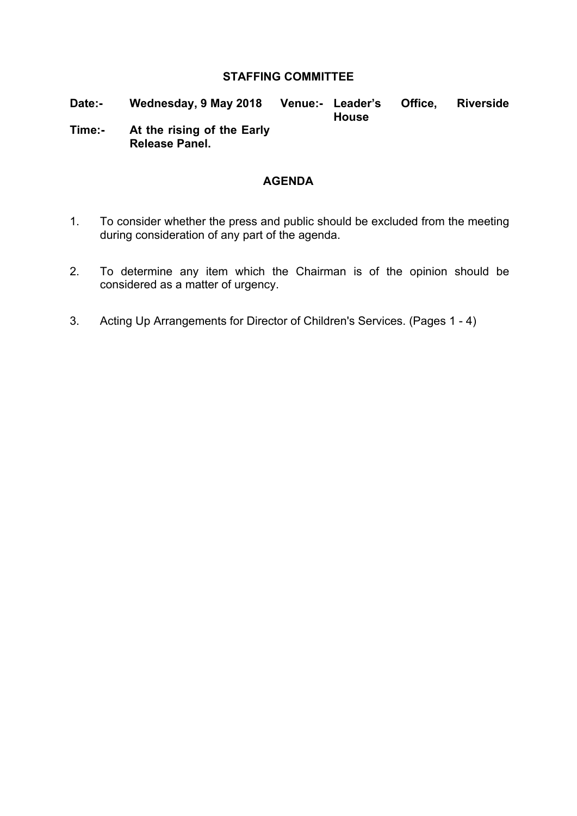#### **STAFFING COMMITTEE**

- **Date:- Wednesday, 9 May 2018 Venue:- Leader's Office, Riverside House**
- **Time:- At the rising of the Early Release Panel.**

#### **AGENDA**

- 1. To consider whether the press and public should be excluded from the meeting during consideration of any part of the agenda.
- 2. To determine any item which the Chairman is of the opinion should be considered as a matter of urgency.
- 3. Acting Up Arrangements for Director of Children's Services. (Pages 1 4)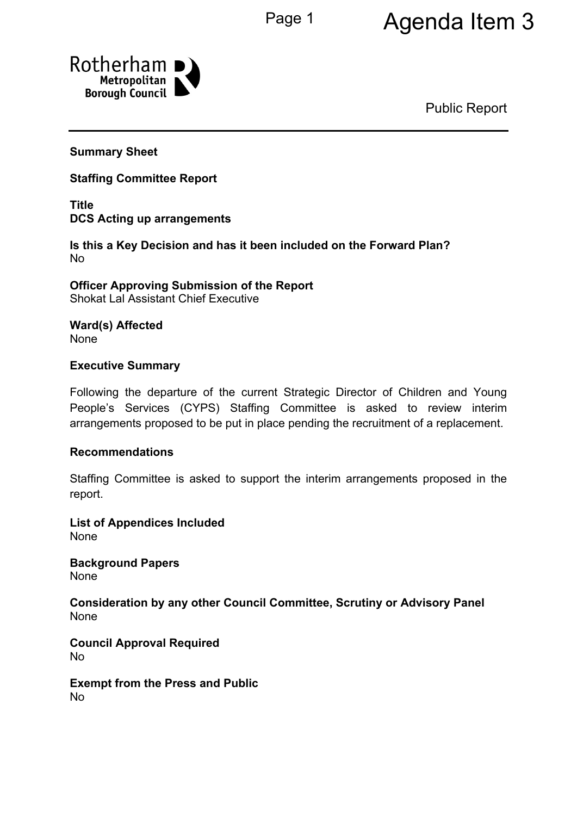# Page 1 Agenda Item 3



Public Report

## **Summary Sheet**

## **Staffing Committee Report**

**Title DCS Acting up arrangements**

**Is this a Key Decision and has it been included on the Forward Plan?** No

**Officer Approving Submission of the Report** Shokat Lal Assistant Chief Executive

**Ward(s) Affected** None

#### **Executive Summary**

Following the departure of the current Strategic Director of Children and Young People's Services (CYPS) Staffing Committee is asked to review interim arrangements proposed to be put in place pending the recruitment of a replacement.

#### **Recommendations**

Staffing Committee is asked to support the interim arrangements proposed in the report.

**List of Appendices Included** None

**Background Papers** None

**Consideration by any other Council Committee, Scrutiny or Advisory Panel** None

**Council Approval Required** No

**Exempt from the Press and Public** No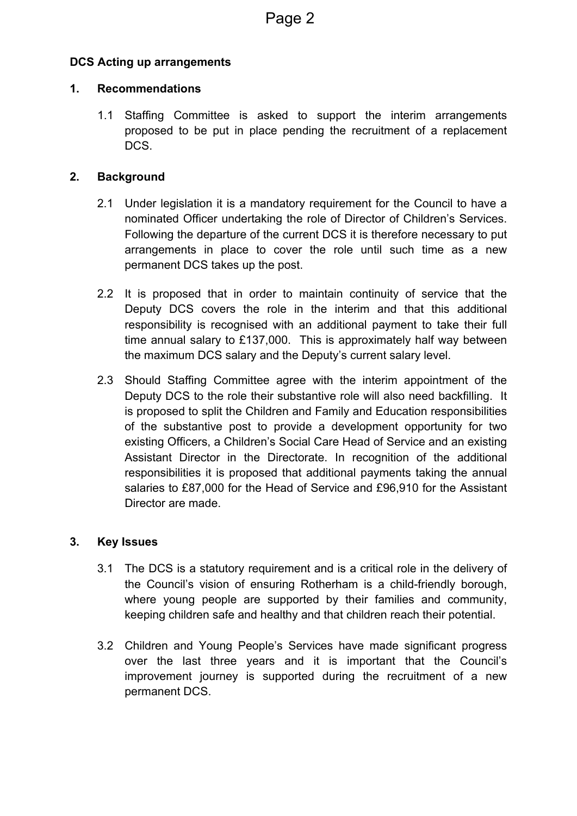# **DCS Acting up arrangements**

## **1. Recommendations**

1.1 Staffing Committee is asked to support the interim arrangements proposed to be put in place pending the recruitment of a replacement DCS.

## **2. Background**

- 2.1 Under legislation it is a mandatory requirement for the Council to have a nominated Officer undertaking the role of Director of Children's Services. Following the departure of the current DCS it is therefore necessary to put arrangements in place to cover the role until such time as a new permanent DCS takes up the post.
- 2.2 It is proposed that in order to maintain continuity of service that the Deputy DCS covers the role in the interim and that this additional responsibility is recognised with an additional payment to take their full time annual salary to £137,000. This is approximately half way between the maximum DCS salary and the Deputy's current salary level.
- 2.3 Should Staffing Committee agree with the interim appointment of the Deputy DCS to the role their substantive role will also need backfilling. It is proposed to split the Children and Family and Education responsibilities of the substantive post to provide a development opportunity for two existing Officers, a Children's Social Care Head of Service and an existing Assistant Director in the Directorate. In recognition of the additional responsibilities it is proposed that additional payments taking the annual salaries to £87,000 for the Head of Service and £96,910 for the Assistant Director are made.

# **3. Key Issues**

- 3.1 The DCS is a statutory requirement and is a critical role in the delivery of the Council's vision of ensuring Rotherham is a child-friendly borough, where young people are supported by their families and community, keeping children safe and healthy and that children reach their potential.
- 3.2 Children and Young People's Services have made significant progress over the last three years and it is important that the Council's improvement journey is supported during the recruitment of a new permanent DCS.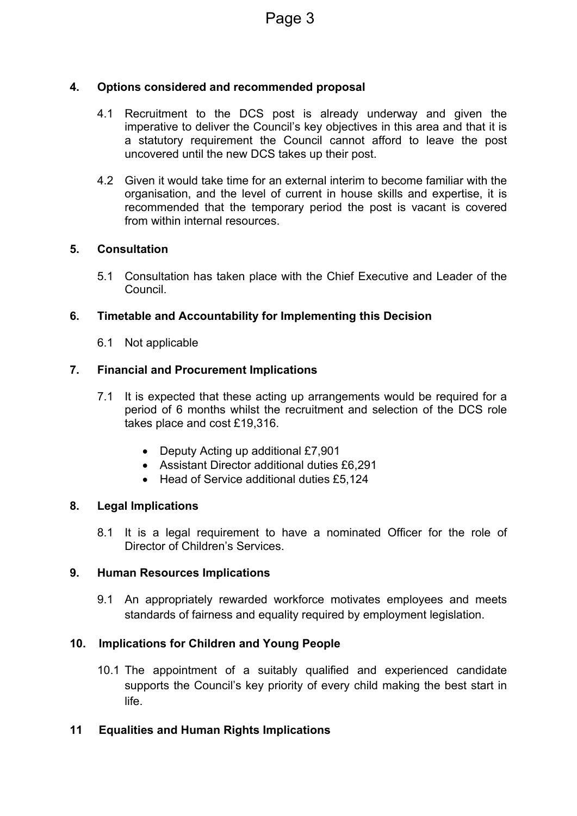# **4. Options considered and recommended proposal**

- 4.1 Recruitment to the DCS post is already underway and given the imperative to deliver the Council's key objectives in this area and that it is a statutory requirement the Council cannot afford to leave the post uncovered until the new DCS takes up their post.
- 4.2 Given it would take time for an external interim to become familiar with the organisation, and the level of current in house skills and expertise, it is recommended that the temporary period the post is vacant is covered from within internal resources.

## **5. Consultation**

5.1 Consultation has taken place with the Chief Executive and Leader of the Council.

# **6. Timetable and Accountability for Implementing this Decision**

6.1 Not applicable

## **7. Financial and Procurement Implications**

- 7.1 It is expected that these acting up arrangements would be required for a period of 6 months whilst the recruitment and selection of the DCS role takes place and cost £19,316.
	- Deputy Acting up additional £7,901
	- Assistant Director additional duties £6,291
	- Head of Service additional duties £5,124

#### **8. Legal Implications**

8.1 It is a legal requirement to have a nominated Officer for the role of Director of Children's Services.

#### **9. Human Resources Implications**

9.1 An appropriately rewarded workforce motivates employees and meets standards of fairness and equality required by employment legislation.

# **10. Implications for Children and Young People**

10.1 The appointment of a suitably qualified and experienced candidate supports the Council's key priority of every child making the best start in life.

# **11 Equalities and Human Rights Implications**